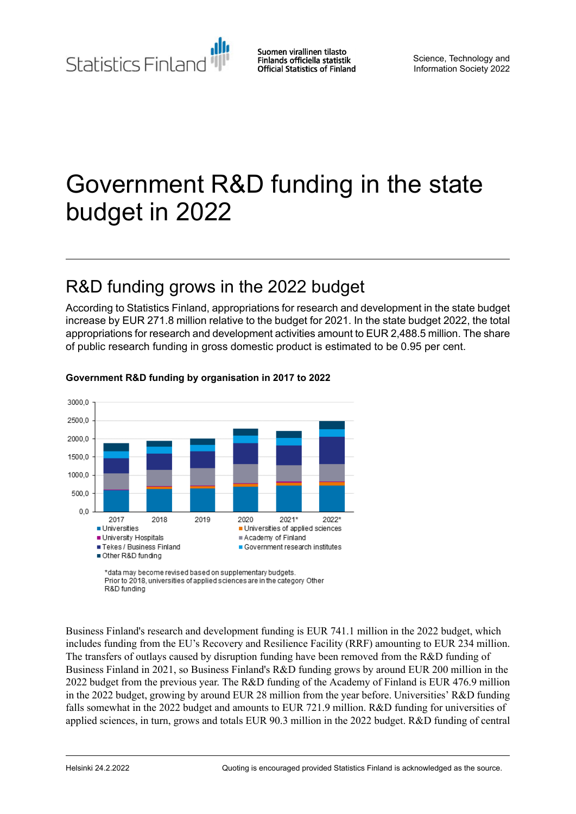Statistics Finland

Suomen virallinen tilasto Finlands officiella statistik **Official Statistics of Finland** 

Science, Technology and Information Society 2022

# Government R&D funding in the state budget in 2022

## R&D funding grows in the 2022 budget

According to Statistics Finland, appropriations for research and development in the state budget increase by EUR 271.8 million relative to the budget for 2021. In the state budget 2022, the total appropriations for research and development activities amount to EUR 2,488.5 million. The share of public research funding in gross domestic product is estimated to be 0.95 per cent.



#### **Government R&D funding by organisation in 2017 to 2022**

R&D funding

Business Finland's research and development funding is EUR 741.1 million in the 2022 budget, which includes funding from the EU's Recovery and Resilience Facility (RRF) amounting to EUR 234 million. The transfers of outlays caused by disruption funding have been removed from the R&D funding of Business Finland in 2021, so Business Finland's R&D funding grows by around EUR 200 million in the 2022 budget from the previous year. The R&D funding of the Academy of Finland is EUR 476.9 million in the 2022 budget, growing by around EUR 28 million from the year before. Universities' R&D funding falls somewhat in the 2022 budget and amounts to EUR 721.9 million. R&D funding for universities of applied sciences, in turn, grows and totals EUR 90.3 million in the 2022 budget. R&D funding of central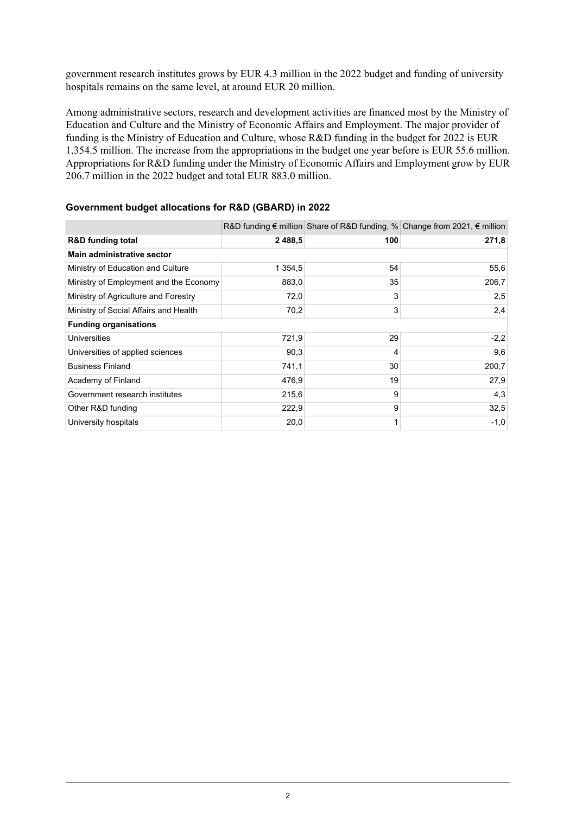government research institutes grows by EUR 4.3 million in the 2022 budget and funding of university hospitals remains on the same level, at around EUR 20 million.

Among administrative sectors, research and development activities are financed most by the Ministry of Education and Culture and the Ministry of Economic Affairs and Employment. The major provider of funding is the Ministry of Education and Culture, whose R&D funding in the budget for 2022 is EUR 1,354.5 million. The increase from the appropriations in the budget one year before is EUR 55.6 million. Appropriations for R&D funding under the Ministry of Economic Affairs and Employment grow by EUR 206.7 million in the 2022 budget and total EUR 883.0 million.

|                                        |             |     | R&D funding $\epsilon$ million Share of R&D funding, % Change from 2021, $\epsilon$ million |
|----------------------------------------|-------------|-----|---------------------------------------------------------------------------------------------|
| <b>R&amp;D</b> funding total           | 2 4 8 8 , 5 | 100 | 271,8                                                                                       |
| Main administrative sector             |             |     |                                                                                             |
| Ministry of Education and Culture      | 1 354,5     | 54  | 55,6                                                                                        |
| Ministry of Employment and the Economy | 883,0       | 35  | 206,7                                                                                       |
| Ministry of Agriculture and Forestry   | 72,0        | 3   | 2,5                                                                                         |
| Ministry of Social Affairs and Health  | 70,2        | 3   | 2,4                                                                                         |
| <b>Funding organisations</b>           |             |     |                                                                                             |
| <b>Universities</b>                    | 721,9       | 29  | $-2,2$                                                                                      |
| Universities of applied sciences       | 90,3        | 4   | 9,6                                                                                         |
| <b>Business Finland</b>                | 741,1       | 30  | 200,7                                                                                       |
| Academy of Finland                     | 476,9       | 19  | 27,9                                                                                        |
| Government research institutes         | 215,6       | 9   | 4,3                                                                                         |
| Other R&D funding                      | 222,9       | 9   | 32,5                                                                                        |
| University hospitals                   | 20,0        | 1   | $-1,0$                                                                                      |

#### **Government budget allocations for R&D (GBARD) in 2022**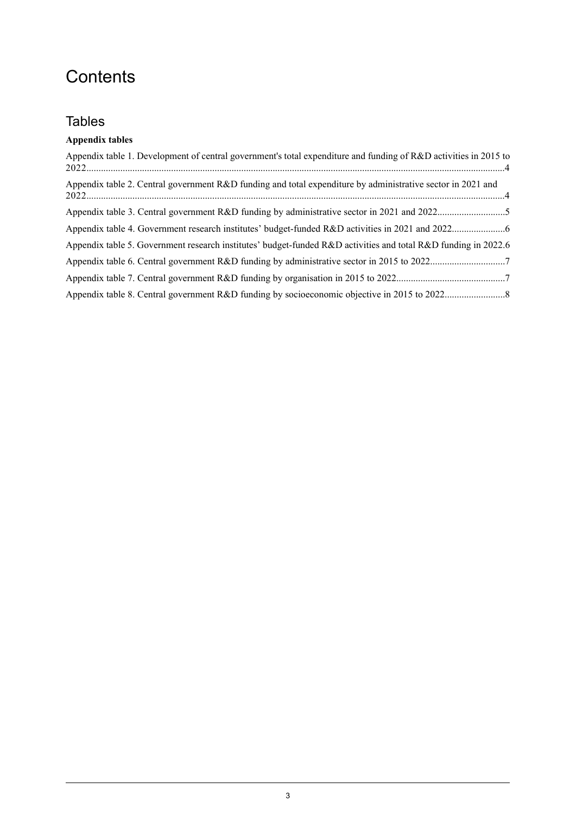## **Contents**

## **Tables**

### **Appendix tables**

| Appendix table 1. Development of central government's total expenditure and funding of R&D activities in 2015 to |  |
|------------------------------------------------------------------------------------------------------------------|--|
| Appendix table 2. Central government R&D funding and total expenditure by administrative sector in 2021 and      |  |
|                                                                                                                  |  |
|                                                                                                                  |  |
| Appendix table 5. Government research institutes' budget-funded R&D activities and total R&D funding in 2022.6   |  |
|                                                                                                                  |  |
|                                                                                                                  |  |
|                                                                                                                  |  |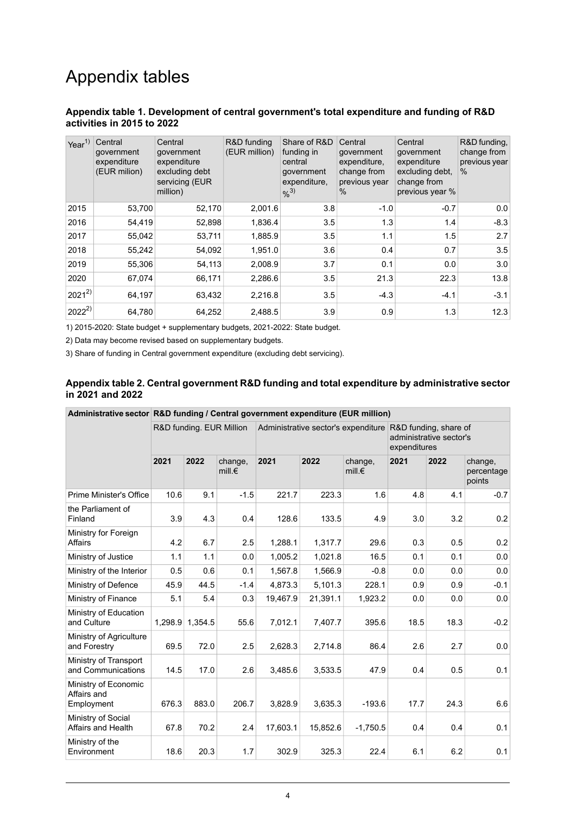## Appendix tables

#### <span id="page-3-0"></span>**Appendix table 1. Development of central government's total expenditure and funding of R&D activities in 2015 to 2022**

| Year $1$   | Central<br>government<br>expenditure<br>(EUR milion) | Central<br>qovernment<br>expenditure<br>excluding debt<br>servicing (EUR<br>million) | R&D funding<br>(EUR million) | Share of R&D<br>funding in<br>central<br>government<br>expenditure,<br>$%^{3)}$ | Central<br>qovernment<br>expenditure,<br>change from<br>previous year<br>$\%$ | Central<br>government<br>expenditure<br>excluding debt.<br>change from<br>previous year % | R&D funding,<br>change from<br>previous year<br>$\%$ |
|------------|------------------------------------------------------|--------------------------------------------------------------------------------------|------------------------------|---------------------------------------------------------------------------------|-------------------------------------------------------------------------------|-------------------------------------------------------------------------------------------|------------------------------------------------------|
| 2015       | 53,700                                               | 52,170                                                                               | 2,001.6                      | 3.8                                                                             | $-1.0$                                                                        | $-0.7$                                                                                    | 0.0                                                  |
| 2016       | 54,419                                               | 52,898                                                                               | 1,836.4                      | 3.5                                                                             | 1.3                                                                           | 1.4                                                                                       | $-8.3$                                               |
| 2017       | 55,042                                               | 53,711                                                                               | 1,885.9                      | 3.5                                                                             | 1.1                                                                           | 1.5                                                                                       | 2.7                                                  |
| 2018       | 55,242                                               | 54,092                                                                               | 1,951.0                      | 3.6                                                                             | 0.4                                                                           | 0.7                                                                                       | 3.5                                                  |
| 2019       | 55,306                                               | 54,113                                                                               | 2,008.9                      | 3.7                                                                             | 0.1                                                                           | 0.0                                                                                       | 3.0                                                  |
| 2020       | 67,074                                               | 66,171                                                                               | 2,286.6                      | 3.5                                                                             | 21.3                                                                          | 22.3                                                                                      | 13.8                                                 |
| $2021^{2}$ | 64,197                                               | 63,432                                                                               | 2,216.8                      | 3.5                                                                             | $-4.3$                                                                        | $-4.1$                                                                                    | $-3.1$                                               |
| $2022^{2}$ | 64,780                                               | 64,252                                                                               | 2.488.5                      | 3.9                                                                             | 0.9                                                                           | 1.3                                                                                       | 12.3                                                 |

1) 2015-2020: State budget + supplementary budgets, 2021-2022: State budget.

<span id="page-3-1"></span>2) Data may become revised based on supplementary budgets.

3) Share of funding in Central government expenditure (excluding debt servicing).

#### **Appendix table 2. Central government R&D funding and total expenditure by administrative sector in 2021 and 2022**

|                                                   | Administrative sector R&D funding / Central government expenditure (EUR million) |                          |                             |          |          |                             |      |                                                                                                      |                                 |  |  |  |
|---------------------------------------------------|----------------------------------------------------------------------------------|--------------------------|-----------------------------|----------|----------|-----------------------------|------|------------------------------------------------------------------------------------------------------|---------------------------------|--|--|--|
|                                                   |                                                                                  | R&D funding. EUR Million |                             |          |          |                             |      | Administrative sector's expenditure R&D funding, share of<br>administrative sector's<br>expenditures |                                 |  |  |  |
|                                                   | 2021                                                                             | 2022                     | change,<br>mill. $\epsilon$ | 2021     | 2022     | change,<br>mill. $\epsilon$ | 2021 | 2022                                                                                                 | change,<br>percentage<br>points |  |  |  |
| Prime Minister's Office                           | 10.6                                                                             | 9.1                      | $-1.5$                      | 221.7    | 223.3    | 1.6                         | 4.8  | 4.1                                                                                                  | $-0.7$                          |  |  |  |
| the Parliament of<br>Finland                      | 3.9                                                                              | 4.3                      | 0.4                         | 128.6    | 133.5    | 4.9                         | 3.0  | 3.2                                                                                                  | 0.2                             |  |  |  |
| Ministry for Foreign<br>Affairs                   | 4.2                                                                              | 6.7                      | 2.5                         | 1,288.1  | 1,317.7  | 29.6                        | 0.3  | 0.5                                                                                                  | 0.2                             |  |  |  |
| Ministry of Justice                               | 1.1                                                                              | 1.1                      | 0.0                         | 1,005.2  | 1,021.8  | 16.5                        | 0.1  | 0.1                                                                                                  | 0.0                             |  |  |  |
| Ministry of the Interior                          | 0.5                                                                              | 0.6                      | 0.1                         | 1,567.8  | 1,566.9  | $-0.8$                      | 0.0  | 0.0                                                                                                  | 0.0                             |  |  |  |
| Ministry of Defence                               | 45.9                                                                             | 44.5                     | $-1.4$                      | 4,873.3  | 5,101.3  | 228.1                       | 0.9  | 0.9                                                                                                  | $-0.1$                          |  |  |  |
| Ministry of Finance                               | 5.1                                                                              | 5.4                      | 0.3                         | 19,467.9 | 21,391.1 | 1,923.2                     | 0.0  | 0.0                                                                                                  | 0.0                             |  |  |  |
| Ministry of Education<br>and Culture              | 1,298.9                                                                          | 1,354.5                  | 55.6                        | 7,012.1  | 7,407.7  | 395.6                       | 18.5 | 18.3                                                                                                 | $-0.2$                          |  |  |  |
| Ministry of Agriculture<br>and Forestry           | 69.5                                                                             | 72.0                     | 2.5                         | 2,628.3  | 2,714.8  | 86.4                        | 2.6  | 2.7                                                                                                  | 0.0                             |  |  |  |
| Ministry of Transport<br>and Communications       | 14.5                                                                             | 17.0                     | 2.6                         | 3,485.6  | 3,533.5  | 47.9                        | 0.4  | 0.5                                                                                                  | 0.1                             |  |  |  |
| Ministry of Economic<br>Affairs and<br>Employment | 676.3                                                                            | 883.0                    | 206.7                       | 3,828.9  | 3,635.3  | $-193.6$                    | 17.7 | 24.3                                                                                                 | 6.6                             |  |  |  |
| Ministry of Social<br>Affairs and Health          | 67.8                                                                             | 70.2                     | 2.4                         | 17,603.1 | 15,852.6 | $-1,750.5$                  | 0.4  | 0.4                                                                                                  | 0.1                             |  |  |  |
| Ministry of the<br>Environment                    | 18.6                                                                             | 20.3                     | 1.7                         | 302.9    | 325.3    | 22.4                        | 6.1  | 6.2                                                                                                  | 0.1                             |  |  |  |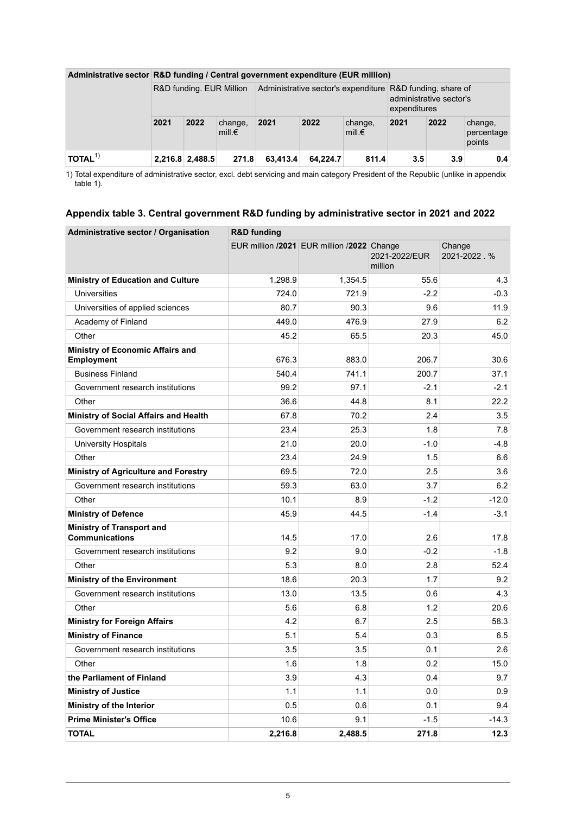| Administrative sector R&D funding / Central government expenditure (EUR million) |                          |                 |                             |          |          |                             |                                                                                                      |      |                                 |  |
|----------------------------------------------------------------------------------|--------------------------|-----------------|-----------------------------|----------|----------|-----------------------------|------------------------------------------------------------------------------------------------------|------|---------------------------------|--|
|                                                                                  | R&D funding. EUR Million |                 |                             |          |          |                             | Administrative sector's expenditure R&D funding, share of<br>administrative sector's<br>expenditures |      |                                 |  |
|                                                                                  | 2021                     | 2022            | change,<br>mill. $\epsilon$ | 2021     | 2022     | change,<br>mill. $\epsilon$ | 2021                                                                                                 | 2022 | change,<br>percentage<br>points |  |
| TOTAL <sup>1</sup>                                                               |                          | 2,216.8 2,488.5 | 271.8                       | 63.413.4 | 64.224.7 | 811.4                       | 3.5                                                                                                  | 3.9  | 0.4                             |  |

#### **Administrative sector R&D funding / Central government expenditure (EUR million)**

<span id="page-4-0"></span>Total expenditure of administrative sector, excl. debt servicing and main category President of the Republic (unlike in appendix table 1). 1)

### **Appendix table 3. Central government R&D funding by administrative sector in 2021 and 2022**

| Administrative sector / Organisation               | <b>R&amp;D</b> funding |                                            |                          |                       |  |  |  |  |  |
|----------------------------------------------------|------------------------|--------------------------------------------|--------------------------|-----------------------|--|--|--|--|--|
|                                                    |                        | EUR million /2021 EUR million /2022 Change | 2021-2022/EUR<br>million | Change<br>2021-2022.% |  |  |  |  |  |
| <b>Ministry of Education and Culture</b>           | 1,298.9                | 1,354.5                                    | 55.6                     | 4.3                   |  |  |  |  |  |
| <b>Universities</b>                                | 724.0                  | 721.9                                      | $-2.2$                   | $-0.3$                |  |  |  |  |  |
| Universities of applied sciences                   | 80.7                   | 90.3                                       | 9.6                      | 11.9                  |  |  |  |  |  |
| Academy of Finland                                 | 449.0                  | 476.9                                      | 27.9                     | 6.2                   |  |  |  |  |  |
| Other                                              | 45.2                   | 65.5                                       | 20.3                     | 45.0                  |  |  |  |  |  |
| Ministry of Economic Affairs and<br>Employment     | 676.3                  | 883.0                                      | 206.7                    | 30.6                  |  |  |  |  |  |
| <b>Business Finland</b>                            | 540.4                  | 741.1                                      | 200.7                    | 37.1                  |  |  |  |  |  |
| Government research institutions                   | 99.2                   | 97.1                                       | $-2.1$                   | $-2.1$                |  |  |  |  |  |
| Other                                              | 36.6                   | 44.8                                       | 8.1                      | 22.2                  |  |  |  |  |  |
| Ministry of Social Affairs and Health              | 67.8                   | 70.2                                       | 2.4                      | 3.5                   |  |  |  |  |  |
| Government research institutions                   | 23.4                   | 25.3                                       | 1.8                      | 7.8                   |  |  |  |  |  |
| University Hospitals                               | 21.0                   | 20.0                                       | $-1.0$                   | $-4.8$                |  |  |  |  |  |
| Other                                              | 23.4                   | 24.9                                       | 1.5                      | 6.6                   |  |  |  |  |  |
| Ministry of Agriculture and Forestry               | 69.5                   | 72.0                                       | 2.5                      | 3.6                   |  |  |  |  |  |
| Government research institutions                   | 59.3                   | 63.0                                       | 3.7                      | 6.2                   |  |  |  |  |  |
| Other                                              | 10.1                   | 8.9                                        | $-1.2$                   | $-12.0$               |  |  |  |  |  |
| <b>Ministry of Defence</b>                         | 45.9                   | 44.5                                       | $-1.4$                   | $-3.1$                |  |  |  |  |  |
| Ministry of Transport and<br><b>Communications</b> | 14.5                   | 17.0                                       | 2.6                      | 17.8                  |  |  |  |  |  |
| Government research institutions                   | 9.2                    | 9.0                                        | $-0.2$                   | $-1.8$                |  |  |  |  |  |
| Other                                              | 5.3                    | 8.0                                        | 2.8                      | 52.4                  |  |  |  |  |  |
| <b>Ministry of the Environment</b>                 | 18.6                   | 20.3                                       | 1.7                      | 9.2                   |  |  |  |  |  |
| Government research institutions                   | 13.0                   | 13.5                                       | 0.6                      | 4.3                   |  |  |  |  |  |
| Other                                              | 5.6                    | 6.8                                        | 1.2                      | 20.6                  |  |  |  |  |  |
| <b>Ministry for Foreign Affairs</b>                | 4.2                    | 6.7                                        | 2.5                      | 58.3                  |  |  |  |  |  |
| <b>Ministry of Finance</b>                         | 5.1                    | 5.4                                        | 0.3                      | 6.5                   |  |  |  |  |  |
| Government research institutions                   | 3.5                    | 3.5                                        | 0.1                      | 2.6                   |  |  |  |  |  |
| Other                                              | 1.6                    | 1.8                                        | 0.2                      | 15.0                  |  |  |  |  |  |
| the Parliament of Finland                          | 3.9                    | 4.3                                        | 0.4                      | 9.7                   |  |  |  |  |  |
| <b>Ministry of Justice</b>                         | 1.1                    | 1.1                                        | 0.0                      | 0.9                   |  |  |  |  |  |
| Ministry of the Interior                           | 0.5                    | 0.6                                        | 0.1                      | 9.4                   |  |  |  |  |  |
| <b>Prime Minister's Office</b>                     | 10.6                   | 9.1                                        | $-1.5$                   | $-14.3$               |  |  |  |  |  |
| <b>TOTAL</b>                                       | 2,216.8                | 2,488.5                                    | 271.8                    | 12.3                  |  |  |  |  |  |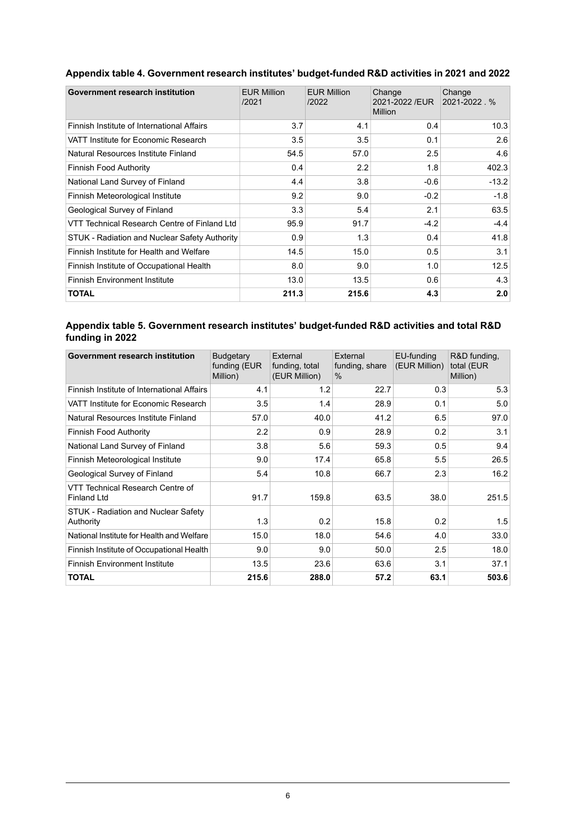| Government research institution               | <b>EUR Million</b><br>/2021 | <b>EUR Million</b><br>/2022 | Change<br>2021-2022 /EUR<br><b>Million</b> | Change<br>2021-2022.% |
|-----------------------------------------------|-----------------------------|-----------------------------|--------------------------------------------|-----------------------|
| Finnish Institute of International Affairs    | 3.7                         | 4.1                         | 0.4                                        | 10.3                  |
| VATT Institute for Economic Research          | 3.5                         | 3.5                         | 0.1                                        | 2.6                   |
| Natural Resources Institute Finland           | 54.5                        | 57.0                        | 2.5                                        | 4.6                   |
| <b>Finnish Food Authority</b>                 | 0.4                         | 2.2                         | 1.8                                        | 402.3                 |
| National Land Survey of Finland               | 4.4                         | 3.8                         | $-0.6$                                     | $-13.2$               |
| Finnish Meteorological Institute              | 9.2                         | 9.0                         | $-0.2$                                     | $-1.8$                |
| Geological Survey of Finland                  | 3.3                         | 5.4                         | 2.1                                        | 63.5                  |
| VTT Technical Research Centre of Finland Ltd  | 95.9                        | 91.7                        | $-4.2$                                     | $-4.4$                |
| STUK - Radiation and Nuclear Safety Authority | 0.9                         | 1.3                         | 0.4                                        | 41.8                  |
| Finnish Institute for Health and Welfare      | 14.5                        | 15.0                        | 0.5                                        | 3.1                   |
| Finnish Institute of Occupational Health      | 8.0                         | 9.0                         | 1.0                                        | 12.5                  |
| <b>Finnish Environment Institute</b>          | 13.0                        | 13.5                        | 0.6                                        | 4.3                   |
| <b>TOTAL</b>                                  | 211.3                       | 215.6                       | 4.3                                        | 2.0                   |

## <span id="page-5-0"></span>**Appendix table 4. Government research institutes' budget-funded R&D activities in 2021 and 2022**

#### <span id="page-5-1"></span>**Appendix table 5. Government research institutes' budget-funded R&D activities and total R&D funding in 2022**

| Government research institution                        | <b>Budgetary</b><br>funding (EUR<br>Million) | External<br>funding, total<br>(EUR Million) | External<br>funding, share<br>$\%$ | EU-funding<br>(EUR Million) | R&D funding,<br>total (EUR<br>Million) |
|--------------------------------------------------------|----------------------------------------------|---------------------------------------------|------------------------------------|-----------------------------|----------------------------------------|
| Finnish Institute of International Affairs             | 4.1                                          | 1.2                                         | 22.7                               | 0.3                         | 5.3                                    |
| VATT Institute for Economic Research                   | 3.5                                          | 1.4                                         | 28.9                               | 0.1                         | 5.0                                    |
| Natural Resources Institute Finland                    | 57.0                                         | 40.0                                        | 41.2                               | 6.5                         | 97.0                                   |
| <b>Finnish Food Authority</b>                          | 2.2                                          | 0.9                                         | 28.9                               | 0.2                         | 3.1                                    |
| National Land Survey of Finland                        | 3.8                                          | 5.6                                         | 59.3                               | 0.5                         | 9.4                                    |
| Finnish Meteorological Institute                       | 9.0                                          | 17.4                                        | 65.8                               | 5.5                         | 26.5                                   |
| Geological Survey of Finland                           | 5.4                                          | 10.8                                        | 66.7                               | 2.3                         | 16.2                                   |
| VTT Technical Research Centre of<br><b>Finland Ltd</b> | 91.7                                         | 159.8                                       | 63.5                               | 38.0                        | 251.5                                  |
| STUK - Radiation and Nuclear Safety<br>Authority       | 1.3                                          | 0.2                                         | 15.8                               | 0.2                         | 1.5                                    |
| National Institute for Health and Welfare              | 15.0                                         | 18.0                                        | 54.6                               | 4.0                         | 33.0                                   |
| Finnish Institute of Occupational Health               | 9.0                                          | 9.0                                         | 50.0                               | 2.5                         | 18.0                                   |
| <b>Finnish Environment Institute</b>                   | 13.5                                         | 23.6                                        | 63.6                               | 3.1                         | 37.1                                   |
| <b>TOTAL</b>                                           | 215.6                                        | 288.0                                       | 57.2                               | 63.1                        | 503.6                                  |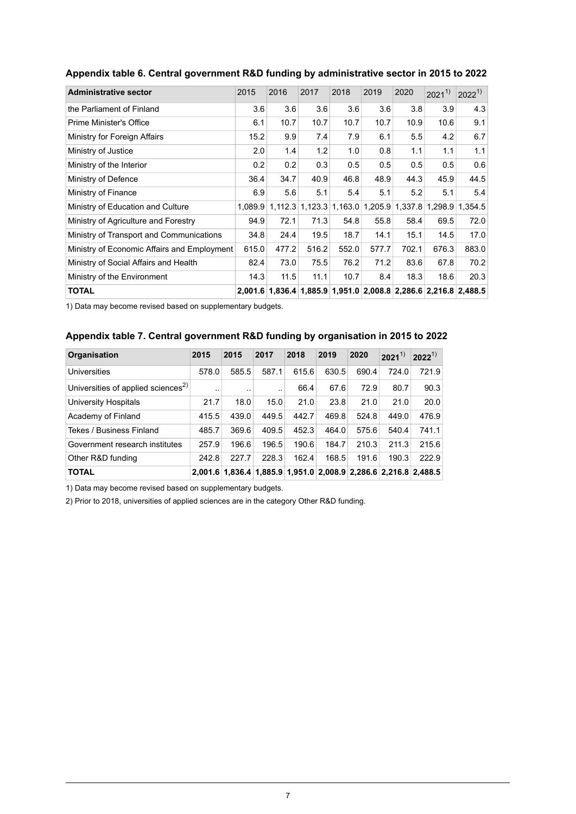| <b>Administrative sector</b>                | 2015  | 2016  | 2017  | 2018  | 2019  | 2020  | $2021^{1}$ | $2022^{1}$                                                      |
|---------------------------------------------|-------|-------|-------|-------|-------|-------|------------|-----------------------------------------------------------------|
| the Parliament of Finland                   | 3.6   | 3.6   | 3.6   | 3.6   | 3.6   | 3.8   | 3.9        | 4.3                                                             |
| Prime Minister's Office                     | 6.1   | 10.7  | 10.7  | 10.7  | 10.7  | 10.9  | 10.6       | 9.1                                                             |
| Ministry for Foreign Affairs                | 15.2  | 9.9   | 7.4   | 7.9   | 6.1   | 5.5   | 4.2        | 6.7                                                             |
| Ministry of Justice                         | 2.0   | 1.4   | 1.2   | 1.0   | 0.8   | 1.1   | 1.1        | 1.1                                                             |
| Ministry of the Interior                    | 0.2   | 0.2   | 0.3   | 0.5   | 0.5   | 0.5   | 0.5        | 0.6                                                             |
| Ministry of Defence                         | 36.4  | 34.7  | 40.9  | 46.8  | 48.9  | 44.3  | 45.9       | 44.5                                                            |
| Ministry of Finance                         | 6.9   | 5.6   | 5.1   | 5.4   | 5.1   | 5.2   | 5.1        | 5.4                                                             |
| Ministry of Education and Culture           |       |       |       |       |       |       |            | 1,089.9 1,112.3 1,123.3 1,163.0 1,205.9 1,337.8 1,298.9 1,354.5 |
| Ministry of Agriculture and Forestry        | 94.9  | 72.1  | 71.3  | 54.8  | 55.8  | 58.4  | 69.5       | 72.0                                                            |
| Ministry of Transport and Communications    | 34.8  | 24.4  | 19.5  | 18.7  | 14.1  | 15.1  | 14.5       | 17.0                                                            |
| Ministry of Economic Affairs and Employment | 615.0 | 477.2 | 516.2 | 552.0 | 577.7 | 702.1 | 676.3      | 883.0                                                           |
| Ministry of Social Affairs and Health       | 82.4  | 73.0  | 75.5  | 76.2  | 71.2  | 83.6  | 67.8       | 70.2                                                            |
| Ministry of the Environment                 | 14.3  | 11.5  | 11.1  | 10.7  | 8.4   | 18.3  | 18.6       | 20.3                                                            |
| <b>TOTAL</b>                                |       |       |       |       |       |       |            | 2,001.6 1,836.4 1,885.9 1,951.0 2,008.8 2,286.6 2,216.8 2,488.5 |

#### <span id="page-6-0"></span>**Appendix table 6. Central government R&D funding by administrative sector in 2015 to 2022**

<span id="page-6-1"></span>1) Data may become revised based on supplementary budgets.

### **Appendix table 7. Central government R&D funding by organisation in 2015 to 2022**

| <b>Organisation</b>                            | 2015  | 2015      | 2017  | 2018                                                            | 2019  | 2020  | $2021^{1}$ | $2022^{1}$ |
|------------------------------------------------|-------|-----------|-------|-----------------------------------------------------------------|-------|-------|------------|------------|
| Universities                                   | 578.0 | 585.5     | 587.1 | 615.6                                                           | 630.5 | 690.4 | 724.0      | 721.9      |
| Universities of applied sciences <sup>2)</sup> | . .   | $\cdot$ . |       | 66.4                                                            | 67.6  | 72.9  | 80.7       | 90.3       |
| University Hospitals                           | 21.7  | 18.0      | 15.0  | 21.0                                                            | 23.8  | 21.0  | 21.0       | 20.0       |
| Academy of Finland                             | 415.5 | 439.0     | 449.5 | 442.7                                                           | 469.8 | 524.8 | 449.0      | 476.9      |
| Tekes / Business Finland                       | 485.7 | 369.6     | 409.5 | 452.3                                                           | 464.0 | 575.6 | 540.4      | 741.1      |
| Government research institutes                 | 257.9 | 196.6     | 196.5 | 190.6                                                           | 184.7 | 210.3 | 211.3      | 215.6      |
| Other R&D funding                              | 242.8 | 227.7     | 228.3 | 162.4                                                           | 168.5 | 191.6 | 190.3      | 222.9      |
| <b>TOTAL</b>                                   |       |           |       | 2,001.6 1,836.4 1,885.9 1,951.0 2,008.9 2,286.6 2,216.8 2,488.5 |       |       |            |            |

1) Data may become revised based on supplementary budgets.

2) Prior to 2018, universities of applied sciences are in the category Other R&D funding.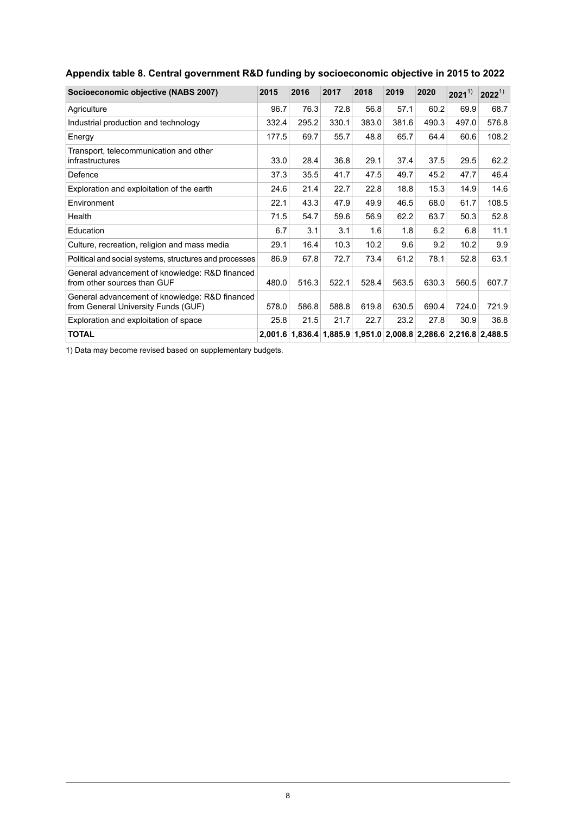| Socioeconomic objective (NABS 2007)                                                   | 2015  | 2016  | 2017  | 2018  | 2019  | 2020  | $2021^{1}$                                                      | $2022^{1}$ |
|---------------------------------------------------------------------------------------|-------|-------|-------|-------|-------|-------|-----------------------------------------------------------------|------------|
| Agriculture                                                                           | 96.7  | 76.3  | 72.8  | 56.8  | 57.1  | 60.2  | 69.9                                                            | 68.7       |
| Industrial production and technology                                                  | 332.4 | 295.2 | 330.1 | 383.0 | 381.6 | 490.3 | 497.0                                                           | 576.8      |
| Energy                                                                                | 177.5 | 69.7  | 55.7  | 48.8  | 65.7  | 64.4  | 60.6                                                            | 108.2      |
| Transport, telecommunication and other<br>infrastructures                             | 33.0  | 28.4  | 36.8  | 29.1  | 37.4  | 37.5  | 29.5                                                            | 62.2       |
| Defence                                                                               | 37.3  | 35.5  | 41.7  | 47.5  | 49.7  | 45.2  | 47.7                                                            | 46.4       |
| Exploration and exploitation of the earth                                             | 24.6  | 21.4  | 22.7  | 22.8  | 18.8  | 15.3  | 14.9                                                            | 14.6       |
| Environment                                                                           | 22.1  | 43.3  | 47.9  | 49.9  | 46.5  | 68.0  | 61.7                                                            | 108.5      |
| Health                                                                                | 71.5  | 54.7  | 59.6  | 56.9  | 62.2  | 63.7  | 50.3                                                            | 52.8       |
| Education                                                                             | 6.7   | 3.1   | 3.1   | 1.6   | 1.8   | 6.2   | 6.8                                                             | 11.1       |
| Culture, recreation, religion and mass media                                          | 29.1  | 16.4  | 10.3  | 10.2  | 9.6   | 9.2   | 10.2                                                            | 9.9        |
| Political and social systems, structures and processes                                | 86.9  | 67.8  | 72.7  | 73.4  | 61.2  | 78.1  | 52.8                                                            | 63.1       |
| General advancement of knowledge: R&D financed<br>from other sources than GUF         | 480.0 | 516.3 | 522.1 | 528.4 | 563.5 | 630.3 | 560.5                                                           | 607.7      |
| General advancement of knowledge: R&D financed<br>from General University Funds (GUF) | 578.0 | 586.8 | 588.8 | 619.8 | 630.5 | 690.4 | 724.0                                                           | 721.9      |
| Exploration and exploitation of space                                                 | 25.8  | 21.5  | 21.7  | 22.7  | 23.2  | 27.8  | 30.9                                                            | 36.8       |
| <b>TOTAL</b>                                                                          |       |       |       |       |       |       | 2,001.6 1,836.4 1,885.9 1,951.0 2,008.8 2,286.6 2,216.8 2,488.5 |            |

## <span id="page-7-0"></span>**Appendix table 8. Central government R&D funding by socioeconomic objective in 2015 to 2022**

1) Data may become revised based on supplementary budgets.